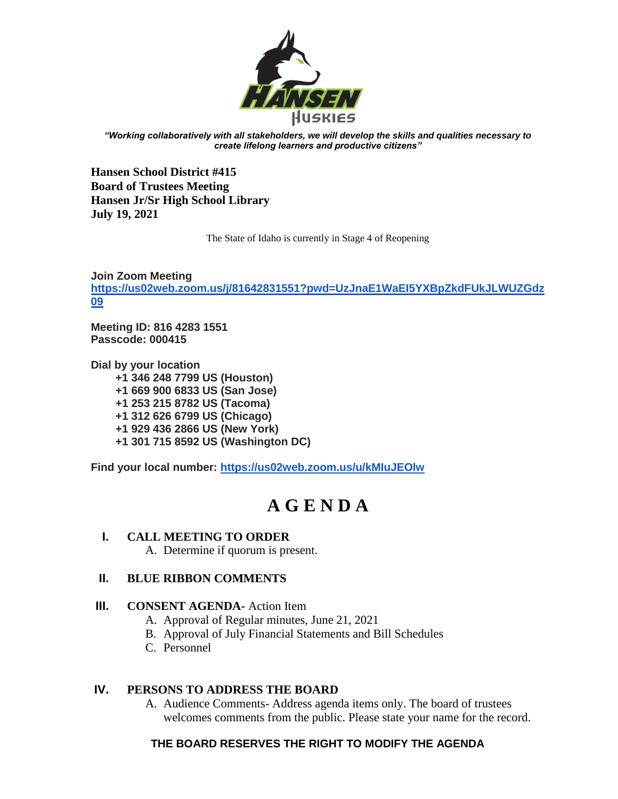

*"Working collaboratively with all stakeholders, we will develop the skills and qualities necessary to create lifelong learners and productive citizens"*

**Hansen School District #415 Board of Trustees Meeting Hansen Jr/Sr High School Library July 19, 2021** 

The State of Idaho is currently in Stage 4 of Reopening

**Join Zoom Meeting [https://us02web.zoom.us/j/81642831551?pwd=UzJnaE1WaEI5YXBpZkdFUkJLWUZGdz](https://us02web.zoom.us/j/81642831551?pwd=UzJnaE1WaEI5YXBpZkdFUkJLWUZGdz09) [09](https://us02web.zoom.us/j/81642831551?pwd=UzJnaE1WaEI5YXBpZkdFUkJLWUZGdz09)**

**Meeting ID: 816 4283 1551 Passcode: 000415**

**Dial by your location +1 346 248 7799 US (Houston) +1 669 900 6833 US (San Jose) +1 253 215 8782 US (Tacoma) +1 312 626 6799 US (Chicago) +1 929 436 2866 US (New York) +1 301 715 8592 US (Washington DC)**

**Find your local number:<https://us02web.zoom.us/u/kMIuJEOlw>**

# **A G E N D A**

# **I. CALL MEETING TO ORDER**

A. Determine if quorum is present.

# **II. BLUE RIBBON COMMENTS**

#### **III. CONSENT AGENDA-** Action Item

- A. Approval of Regular minutes, June 21, 2021
- B. Approval of July Financial Statements and Bill Schedules
- C. Personnel

# **IV. PERSONS TO ADDRESS THE BOARD**

A. Audience Comments- Address agenda items only. The board of trustees welcomes comments from the public. Please state your name for the record.

# **THE BOARD RESERVES THE RIGHT TO MODIFY THE AGENDA**